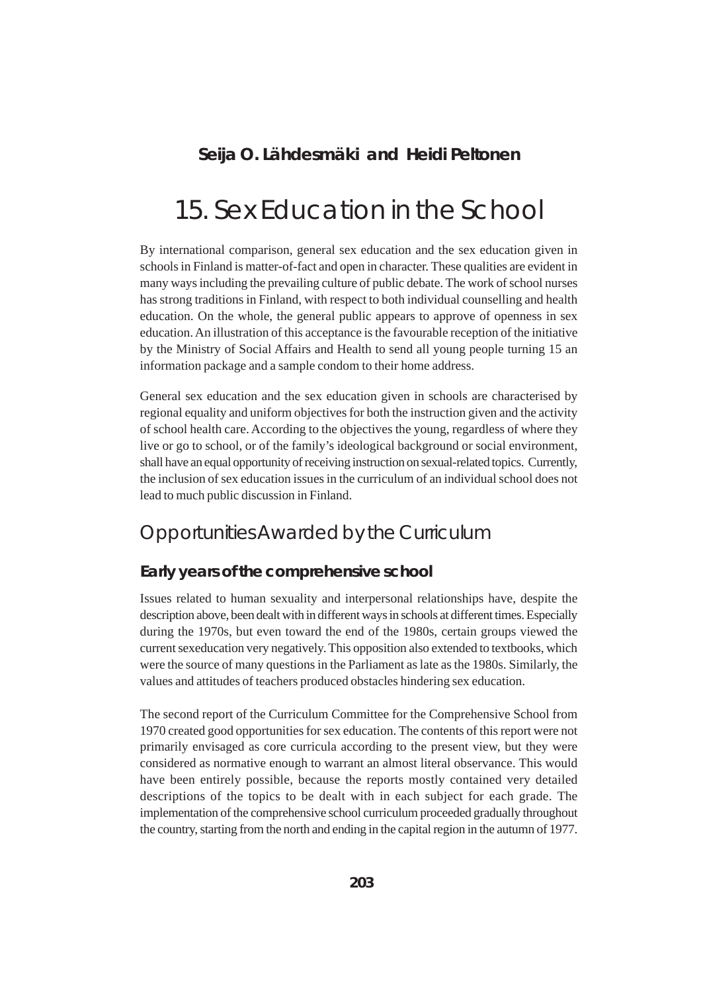# **Seija O. Lähdesmäki and Heidi Peltonen**

# 15. Sex Education in the School

By international comparison, general sex education and the sex education given in schools in Finland is matter-of-fact and open in character. These qualities are evident in many ways including the prevailing culture of public debate. The work of school nurses has strong traditions in Finland, with respect to both individual counselling and health education. On the whole, the general public appears to approve of openness in sex education. An illustration of this acceptance is the favourable reception of the initiative by the Ministry of Social Affairs and Health to send all young people turning 15 an information package and a sample condom to their home address.

General sex education and the sex education given in schools are characterised by regional equality and uniform objectives for both the instruction given and the activity of school health care. According to the objectives the young, regardless of where they live or go to school, or of the family's ideological background or social environment, shall have an equal opportunity of receiving instruction on sexual-related topics. Currently, the inclusion of sex education issues in the curriculum of an individual school does not lead to much public discussion in Finland.

# Opportunities Awarded by the Curriculum

### **Early years of the comprehensive school**

Issues related to human sexuality and interpersonal relationships have, despite the description above, been dealt with in different ways in schools at different times. Especially during the 1970s, but even toward the end of the 1980s, certain groups viewed the current sexeducation very negatively. This opposition also extended to textbooks, which were the source of many questions in the Parliament as late as the 1980s. Similarly, the values and attitudes of teachers produced obstacles hindering sex education.

The second report of the Curriculum Committee for the Comprehensive School from 1970 created good opportunities for sex education. The contents of this report were not primarily envisaged as core curricula according to the present view, but they were considered as normative enough to warrant an almost literal observance. This would have been entirely possible, because the reports mostly contained very detailed descriptions of the topics to be dealt with in each subject for each grade. The implementation of the comprehensive school curriculum proceeded gradually throughout the country, starting from the north and ending in the capital region in the autumn of 1977.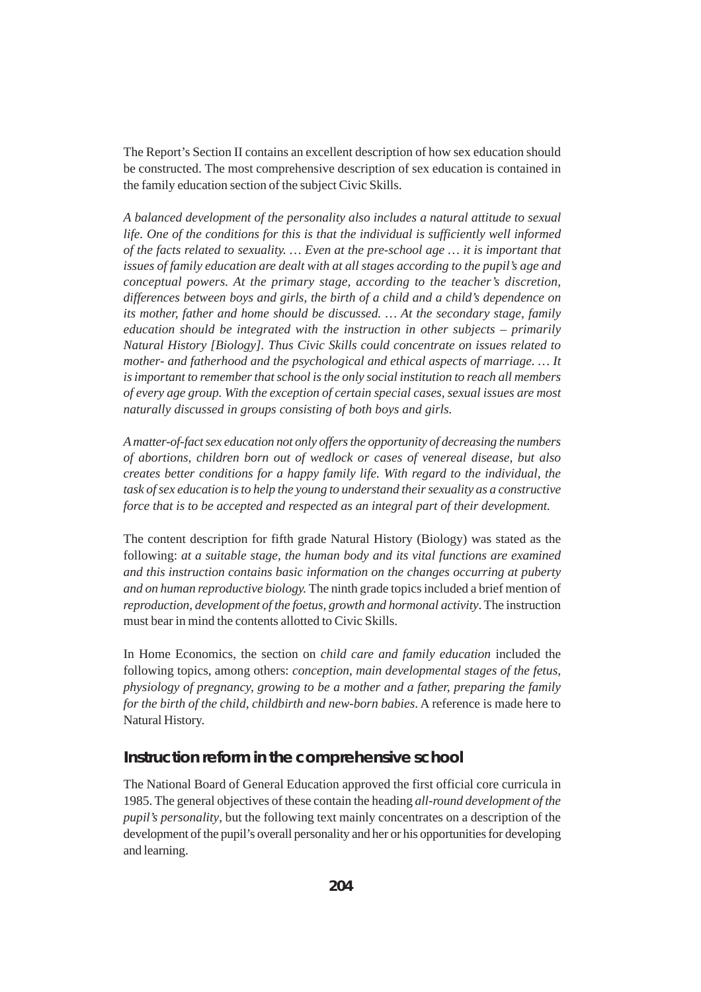The Report's Section II contains an excellent description of how sex education should be constructed. The most comprehensive description of sex education is contained in the family education section of the subject Civic Skills.

*A balanced development of the personality also includes a natural attitude to sexual life. One of the conditions for this is that the individual is sufficiently well informed of the facts related to sexuality. … Even at the pre-school age … it is important that issues of family education are dealt with at all stages according to the pupil's age and conceptual powers. At the primary stage, according to the teacher's discretion, differences between boys and girls, the birth of a child and a child's dependence on its mother, father and home should be discussed. … At the secondary stage, family education should be integrated with the instruction in other subjects – primarily Natural History [Biology]. Thus Civic Skills could concentrate on issues related to mother- and fatherhood and the psychological and ethical aspects of marriage. … It is important to remember that school is the only social institution to reach all members of every age group. With the exception of certain special cases, sexual issues are most naturally discussed in groups consisting of both boys and girls.*

*A matter-of-fact sex education not only offers the opportunity of decreasing the numbers of abortions, children born out of wedlock or cases of venereal disease, but also creates better conditions for a happy family life. With regard to the individual, the task of sex education is to help the young to understand their sexuality as a constructive force that is to be accepted and respected as an integral part of their development.*

The content description for fifth grade Natural History (Biology) was stated as the following: *at a suitable stage, the human body and its vital functions are examined and this instruction contains basic information on the changes occurring at puberty and on human reproductive biology.* The ninth grade topics included a brief mention of *reproduction, development of the foetus, growth and hormonal activity*. The instruction must bear in mind the contents allotted to Civic Skills.

In Home Economics, the section on *child care and family education* included the following topics, among others: *conception, main developmental stages of the fetus, physiology of pregnancy, growing to be a mother and a father, preparing the family for the birth of the child, childbirth and new-born babies*. A reference is made here to Natural History.

#### **Instruction reform in the comprehensive school**

The National Board of General Education approved the first official core curricula in 1985. The general objectives of these contain the heading *all-round development of the pupil's personality*, but the following text mainly concentrates on a description of the development of the pupil's overall personality and her or his opportunities for developing and learning.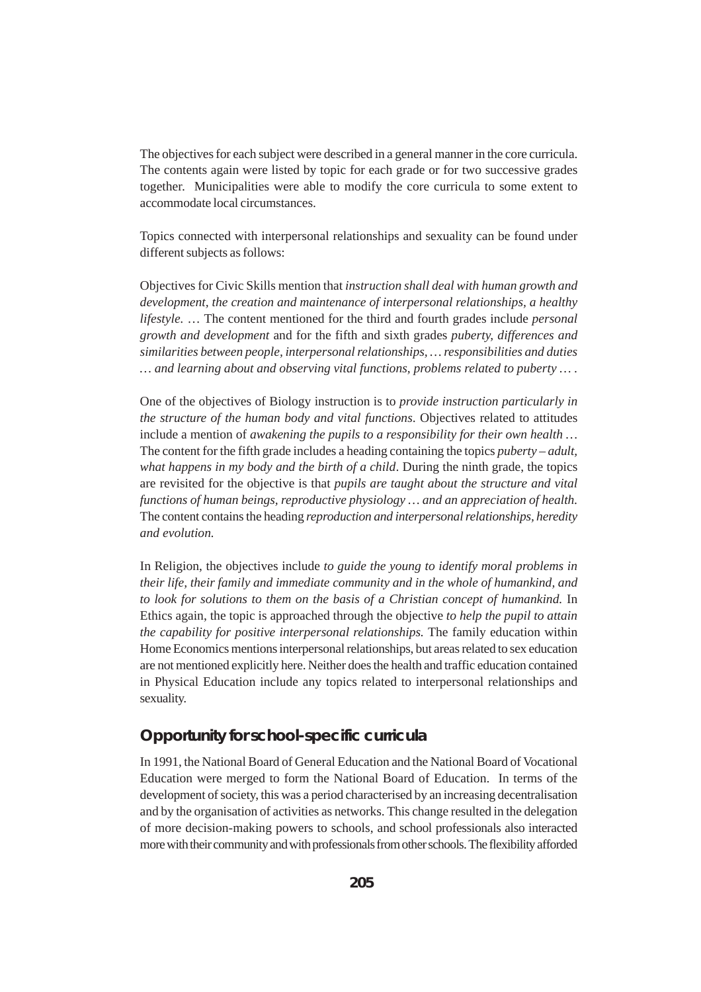The objectives for each subject were described in a general manner in the core curricula. The contents again were listed by topic for each grade or for two successive grades together. Municipalities were able to modify the core curricula to some extent to accommodate local circumstances.

Topics connected with interpersonal relationships and sexuality can be found under different subjects as follows:

Objectives for Civic Skills mention that *instruction shall deal with human growth and development, the creation and maintenance of interpersonal relationships, a healthy lifestyle.* … The content mentioned for the third and fourth grades include *personal growth and development* and for the fifth and sixth grades *puberty, differences and similarities between people, interpersonal relationships, … responsibilities and duties … and learning about and observing vital functions, problems related to puberty … .*

One of the objectives of Biology instruction is to *provide instruction particularly in the structure of the human body and vital functions*. Objectives related to attitudes include a mention of *awakening the pupils to a responsibility for their own health …* The content for the fifth grade includes a heading containing the topics *puberty – adult, what happens in my body and the birth of a child*. During the ninth grade, the topics are revisited for the objective is that *pupils are taught about the structure and vital functions of human beings, reproductive physiology … and an appreciation of health.* The content contains the heading *reproduction and interpersonal relationships, heredity and evolution.*

In Religion, the objectives include *to guide the young to identify moral problems in their life, their family and immediate community and in the whole of humankind, and to look for solutions to them on the basis of a Christian concept of humankind.* In Ethics again, the topic is approached through the objective *to help the pupil to attain the capability for positive interpersonal relationships.* The family education within Home Economics mentions interpersonal relationships, but areas related to sex education are not mentioned explicitly here. Neither does the health and traffic education contained in Physical Education include any topics related to interpersonal relationships and sexuality.

#### **Opportunity for school-specific curricula**

In 1991, the National Board of General Education and the National Board of Vocational Education were merged to form the National Board of Education. In terms of the development of society, this was a period characterised by an increasing decentralisation and by the organisation of activities as networks. This change resulted in the delegation of more decision-making powers to schools, and school professionals also interacted more with their community and with professionals from other schools. The flexibility afforded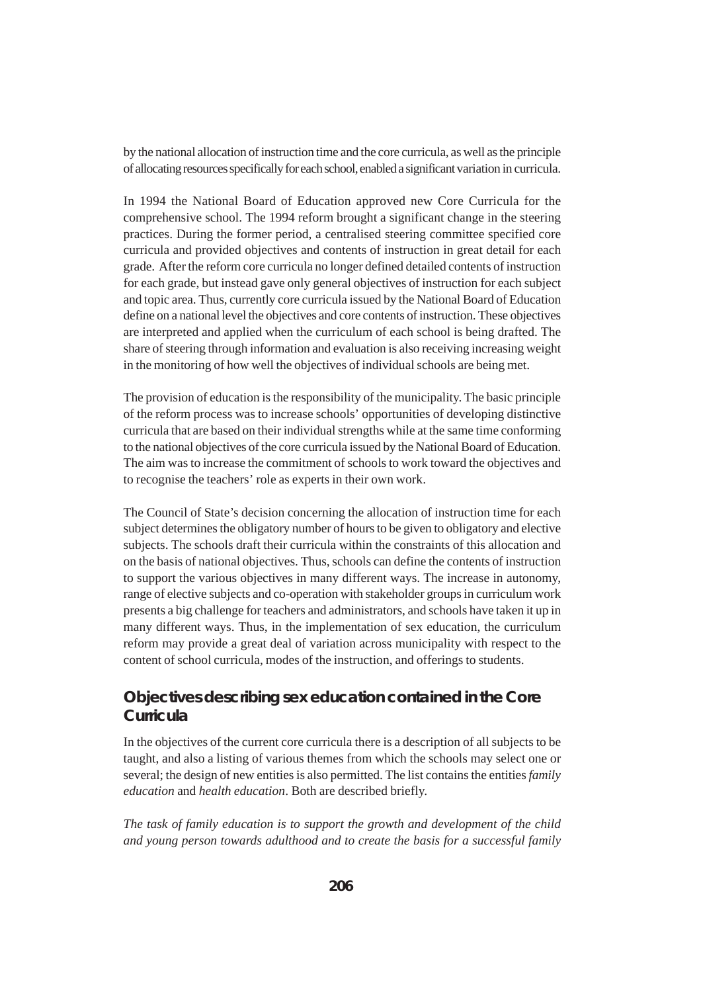by the national allocation of instruction time and the core curricula, as well as the principle of allocating resources specifically for each school, enabled a significant variation in curricula.

In 1994 the National Board of Education approved new Core Curricula for the comprehensive school. The 1994 reform brought a significant change in the steering practices. During the former period, a centralised steering committee specified core curricula and provided objectives and contents of instruction in great detail for each grade. After the reform core curricula no longer defined detailed contents of instruction for each grade, but instead gave only general objectives of instruction for each subject and topic area. Thus, currently core curricula issued by the National Board of Education define on a national level the objectives and core contents of instruction. These objectives are interpreted and applied when the curriculum of each school is being drafted. The share of steering through information and evaluation is also receiving increasing weight in the monitoring of how well the objectives of individual schools are being met.

The provision of education is the responsibility of the municipality. The basic principle of the reform process was to increase schools' opportunities of developing distinctive curricula that are based on their individual strengths while at the same time conforming to the national objectives of the core curricula issued by the National Board of Education. The aim was to increase the commitment of schools to work toward the objectives and to recognise the teachers' role as experts in their own work.

The Council of State's decision concerning the allocation of instruction time for each subject determines the obligatory number of hours to be given to obligatory and elective subjects. The schools draft their curricula within the constraints of this allocation and on the basis of national objectives. Thus, schools can define the contents of instruction to support the various objectives in many different ways. The increase in autonomy, range of elective subjects and co-operation with stakeholder groups in curriculum work presents a big challenge for teachers and administrators, and schools have taken it up in many different ways. Thus, in the implementation of sex education, the curriculum reform may provide a great deal of variation across municipality with respect to the content of school curricula, modes of the instruction, and offerings to students.

## **Objectives describing sex education contained in the Core Curricula**

In the objectives of the current core curricula there is a description of all subjects to be taught, and also a listing of various themes from which the schools may select one or several; the design of new entities is also permitted. The list contains the entities *family education* and *health education*. Both are described briefly.

*The task of family education is to support the growth and development of the child and young person towards adulthood and to create the basis for a successful family*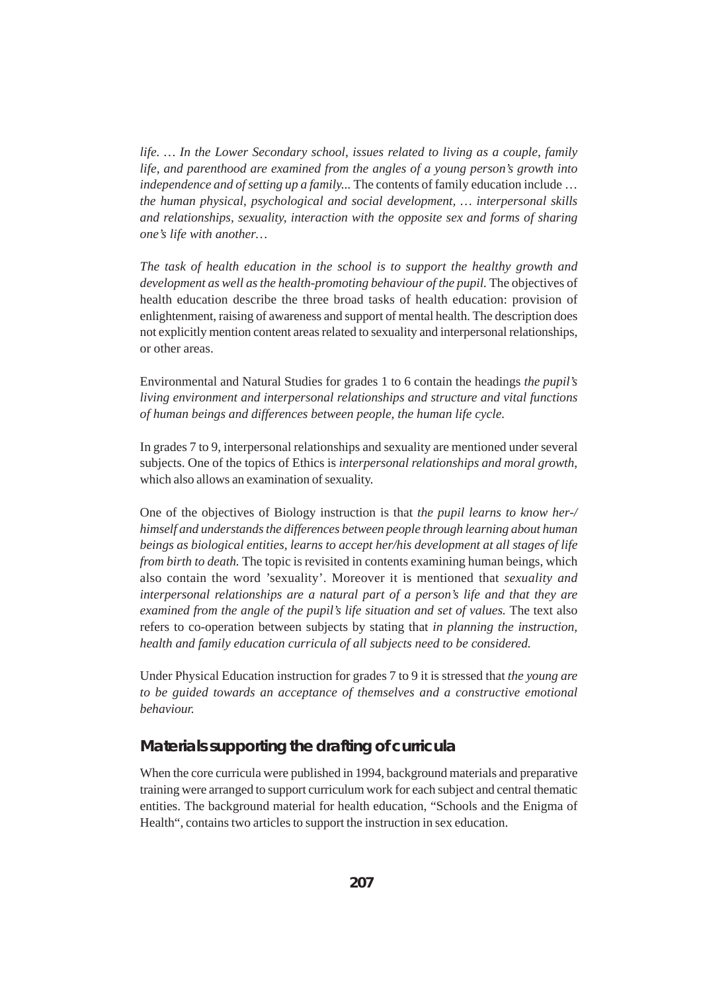*life. … In the Lower Secondary school, issues related to living as a couple, family life, and parenthood are examined from the angles of a young person's growth into independence and of setting up a family...* The contents of family education include ... *the human physical, psychological and social development, … interpersonal skills and relationships, sexuality, interaction with the opposite sex and forms of sharing one's life with another…*

*The task of health education in the school is to support the healthy growth and* development as well as the health-promoting behaviour of the pupil. The objectives of health education describe the three broad tasks of health education: provision of enlightenment, raising of awareness and support of mental health. The description does not explicitly mention content areas related to sexuality and interpersonal relationships, or other areas.

Environmental and Natural Studies for grades 1 to 6 contain the headings *the pupil's living environment and interpersonal relationships and structure and vital functions of human beings and differences between people, the human life cycle.*

In grades 7 to 9, interpersonal relationships and sexuality are mentioned under several subjects. One of the topics of Ethics is *interpersonal relationships and moral growth*, which also allows an examination of sexuality.

One of the objectives of Biology instruction is that *the pupil learns to know her-/ himself and understands the differences between people through learning about human beings as biological entities, learns to accept her/his development at all stages of life from birth to death.* The topic is revisited in contents examining human beings, which also contain the word 'sexuality'. Moreover it is mentioned that *sexuality and interpersonal relationships are a natural part of a person's life and that they are examined from the angle of the pupil's life situation and set of values.* The text also refers to co-operation between subjects by stating that *in planning the instruction, health and family education curricula of all subjects need to be considered.*

Under Physical Education instruction for grades 7 to 9 it is stressed that *the young are to be guided towards an acceptance of themselves and a constructive emotional behaviour.*

#### **Materials supporting the drafting of curricula**

When the core curricula were published in 1994, background materials and preparative training were arranged to support curriculum work for each subject and central thematic entities. The background material for health education, "Schools and the Enigma of Health", contains two articles to support the instruction in sex education.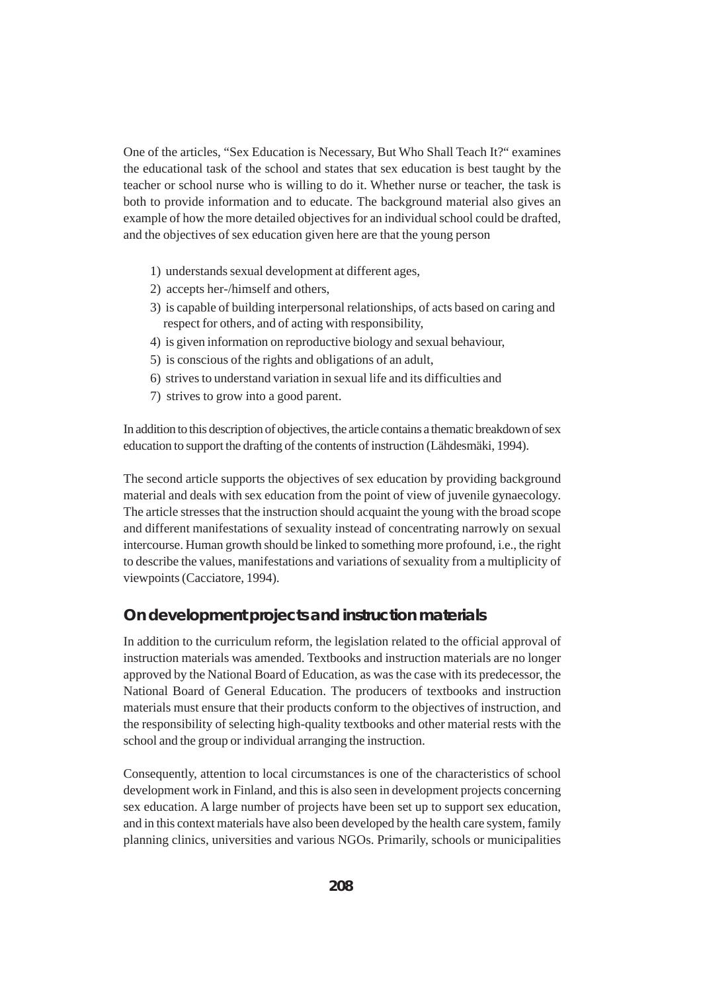One of the articles, "Sex Education is Necessary, But Who Shall Teach It?" examines the educational task of the school and states that sex education is best taught by the teacher or school nurse who is willing to do it. Whether nurse or teacher, the task is both to provide information and to educate. The background material also gives an example of how the more detailed objectives for an individual school could be drafted, and the objectives of sex education given here are that the young person

- 1) understands sexual development at different ages,
- 2) accepts her-/himself and others,
- 3) is capable of building interpersonal relationships, of acts based on caring and respect for others, and of acting with responsibility,
- 4) is given information on reproductive biology and sexual behaviour,
- 5) is conscious of the rights and obligations of an adult,
- 6) strives to understand variation in sexual life and its difficulties and
- 7) strives to grow into a good parent.

In addition to this description of objectives, the article contains a thematic breakdown of sex education to support the drafting of the contents of instruction (Lähdesmäki, 1994).

The second article supports the objectives of sex education by providing background material and deals with sex education from the point of view of juvenile gynaecology. The article stresses that the instruction should acquaint the young with the broad scope and different manifestations of sexuality instead of concentrating narrowly on sexual intercourse. Human growth should be linked to something more profound, i.e., the right to describe the values, manifestations and variations of sexuality from a multiplicity of viewpoints (Cacciatore, 1994).

### **On development projects and instruction materials**

In addition to the curriculum reform, the legislation related to the official approval of instruction materials was amended. Textbooks and instruction materials are no longer approved by the National Board of Education, as was the case with its predecessor, the National Board of General Education. The producers of textbooks and instruction materials must ensure that their products conform to the objectives of instruction, and the responsibility of selecting high-quality textbooks and other material rests with the school and the group or individual arranging the instruction.

Consequently, attention to local circumstances is one of the characteristics of school development work in Finland, and this is also seen in development projects concerning sex education. A large number of projects have been set up to support sex education, and in this context materials have also been developed by the health care system, family planning clinics, universities and various NGOs. Primarily, schools or municipalities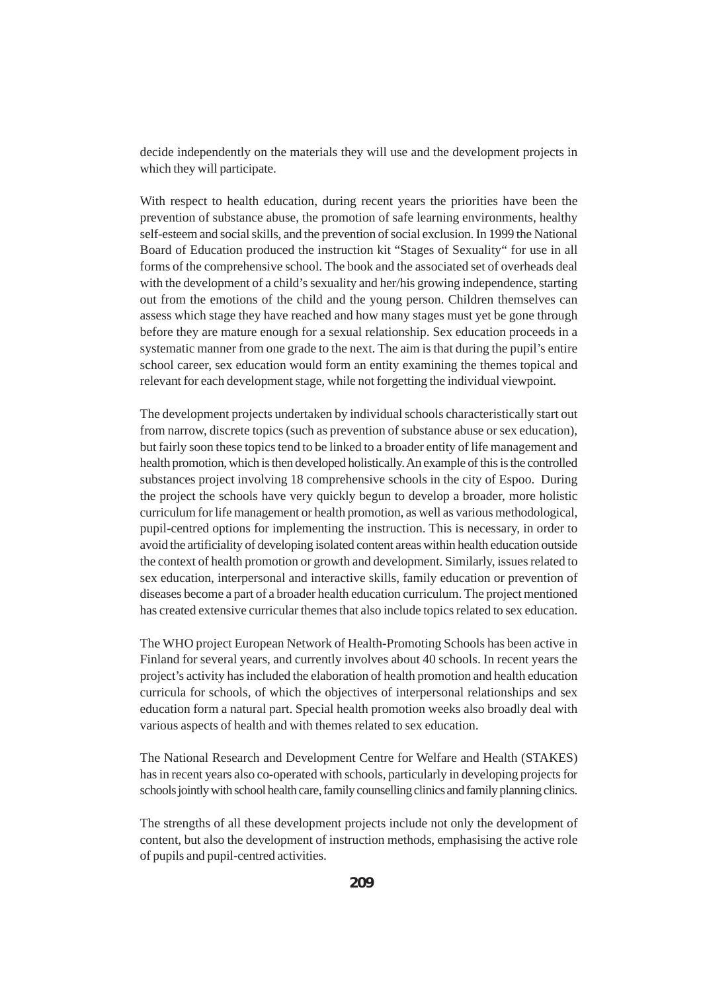decide independently on the materials they will use and the development projects in which they will participate.

With respect to health education, during recent years the priorities have been the prevention of substance abuse, the promotion of safe learning environments, healthy self-esteem and social skills, and the prevention of social exclusion. In 1999 the National Board of Education produced the instruction kit "Stages of Sexuality" for use in all forms of the comprehensive school. The book and the associated set of overheads deal with the development of a child's sexuality and her/his growing independence, starting out from the emotions of the child and the young person. Children themselves can assess which stage they have reached and how many stages must yet be gone through before they are mature enough for a sexual relationship. Sex education proceeds in a systematic manner from one grade to the next. The aim is that during the pupil's entire school career, sex education would form an entity examining the themes topical and relevant for each development stage, while not forgetting the individual viewpoint.

The development projects undertaken by individual schools characteristically start out from narrow, discrete topics (such as prevention of substance abuse or sex education), but fairly soon these topics tend to be linked to a broader entity of life management and health promotion, which is then developed holistically. An example of this is the controlled substances project involving 18 comprehensive schools in the city of Espoo. During the project the schools have very quickly begun to develop a broader, more holistic curriculum for life management or health promotion, as well as various methodological, pupil-centred options for implementing the instruction. This is necessary, in order to avoid the artificiality of developing isolated content areas within health education outside the context of health promotion or growth and development. Similarly, issues related to sex education, interpersonal and interactive skills, family education or prevention of diseases become a part of a broader health education curriculum. The project mentioned has created extensive curricular themes that also include topics related to sex education.

The WHO project European Network of Health-Promoting Schools has been active in Finland for several years, and currently involves about 40 schools. In recent years the project's activity has included the elaboration of health promotion and health education curricula for schools, of which the objectives of interpersonal relationships and sex education form a natural part. Special health promotion weeks also broadly deal with various aspects of health and with themes related to sex education.

The National Research and Development Centre for Welfare and Health (STAKES) has in recent years also co-operated with schools, particularly in developing projects for schools jointly with school health care, family counselling clinics and family planning clinics.

The strengths of all these development projects include not only the development of content, but also the development of instruction methods, emphasising the active role of pupils and pupil-centred activities.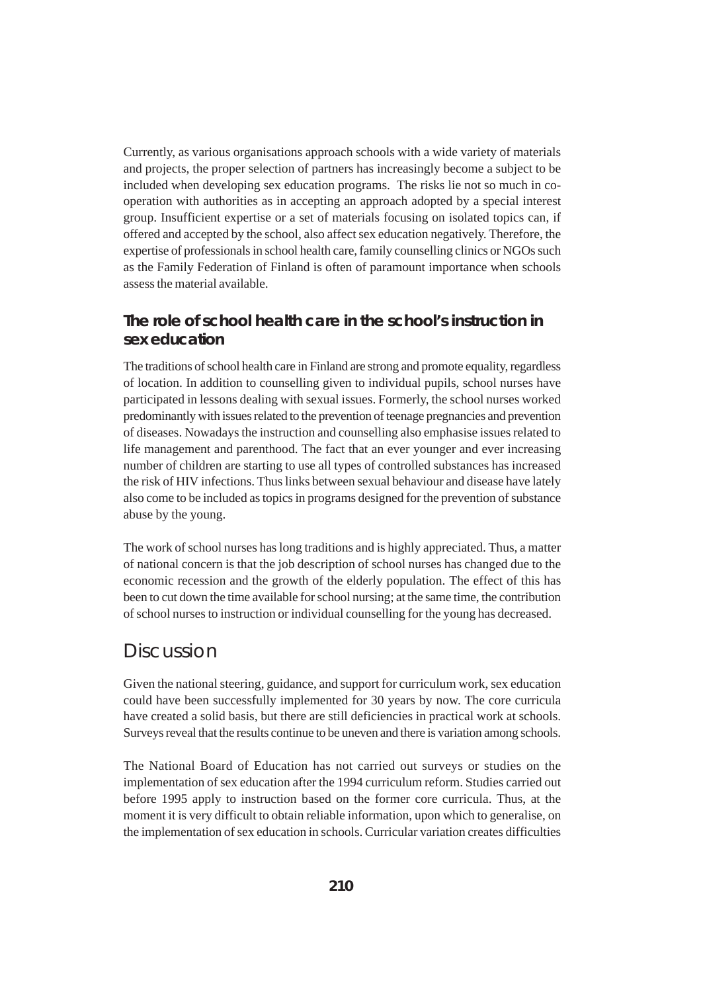Currently, as various organisations approach schools with a wide variety of materials and projects, the proper selection of partners has increasingly become a subject to be included when developing sex education programs. The risks lie not so much in cooperation with authorities as in accepting an approach adopted by a special interest group. Insufficient expertise or a set of materials focusing on isolated topics can, if offered and accepted by the school, also affect sex education negatively. Therefore, the expertise of professionals in school health care, family counselling clinics or NGOs such as the Family Federation of Finland is often of paramount importance when schools assess the material available.

## **The role of school health care in the school's instruction in sex education**

The traditions of school health care in Finland are strong and promote equality, regardless of location. In addition to counselling given to individual pupils, school nurses have participated in lessons dealing with sexual issues. Formerly, the school nurses worked predominantly with issues related to the prevention of teenage pregnancies and prevention of diseases. Nowadays the instruction and counselling also emphasise issues related to life management and parenthood. The fact that an ever younger and ever increasing number of children are starting to use all types of controlled substances has increased the risk of HIV infections. Thus links between sexual behaviour and disease have lately also come to be included as topics in programs designed for the prevention of substance abuse by the young.

The work of school nurses has long traditions and is highly appreciated. Thus, a matter of national concern is that the job description of school nurses has changed due to the economic recession and the growth of the elderly population. The effect of this has been to cut down the time available for school nursing; at the same time, the contribution of school nurses to instruction or individual counselling for the young has decreased.

# Discussion

Given the national steering, guidance, and support for curriculum work, sex education could have been successfully implemented for 30 years by now. The core curricula have created a solid basis, but there are still deficiencies in practical work at schools. Surveys reveal that the results continue to be uneven and there is variation among schools.

The National Board of Education has not carried out surveys or studies on the implementation of sex education after the 1994 curriculum reform. Studies carried out before 1995 apply to instruction based on the former core curricula. Thus, at the moment it is very difficult to obtain reliable information, upon which to generalise, on the implementation of sex education in schools. Curricular variation creates difficulties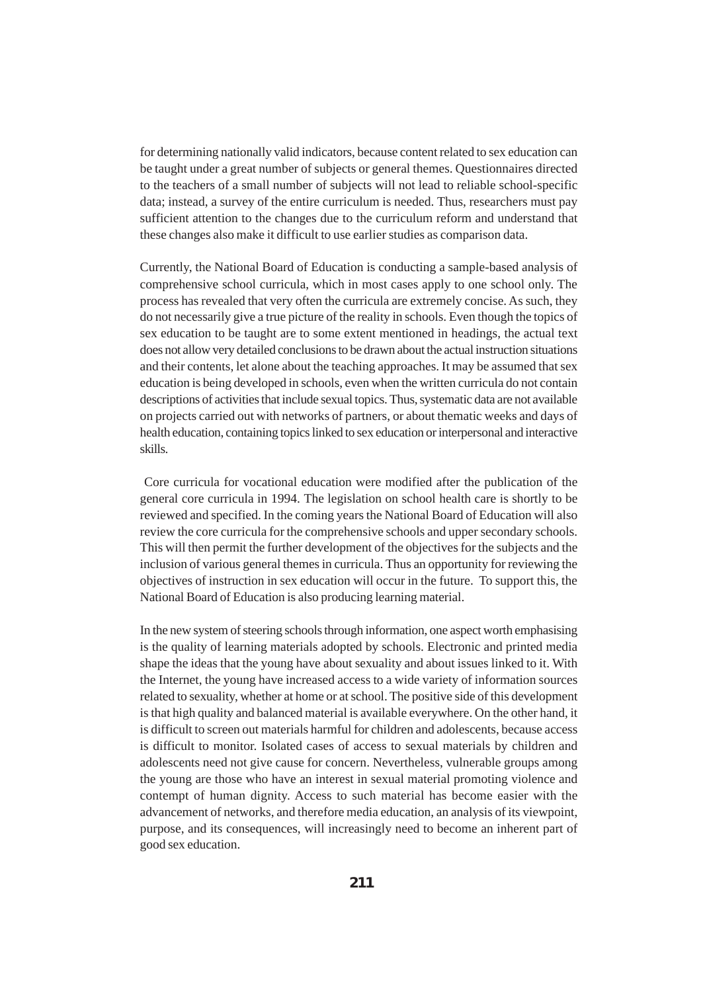for determining nationally valid indicators, because content related to sex education can be taught under a great number of subjects or general themes. Questionnaires directed to the teachers of a small number of subjects will not lead to reliable school-specific data; instead, a survey of the entire curriculum is needed. Thus, researchers must pay sufficient attention to the changes due to the curriculum reform and understand that these changes also make it difficult to use earlier studies as comparison data.

Currently, the National Board of Education is conducting a sample-based analysis of comprehensive school curricula, which in most cases apply to one school only. The process has revealed that very often the curricula are extremely concise. As such, they do not necessarily give a true picture of the reality in schools. Even though the topics of sex education to be taught are to some extent mentioned in headings, the actual text does not allow very detailed conclusions to be drawn about the actual instruction situations and their contents, let alone about the teaching approaches. It may be assumed that sex education is being developed in schools, even when the written curricula do not contain descriptions of activities that include sexual topics. Thus, systematic data are not available on projects carried out with networks of partners, or about thematic weeks and days of health education, containing topics linked to sex education or interpersonal and interactive skills.

 Core curricula for vocational education were modified after the publication of the general core curricula in 1994. The legislation on school health care is shortly to be reviewed and specified. In the coming years the National Board of Education will also review the core curricula for the comprehensive schools and upper secondary schools. This will then permit the further development of the objectives for the subjects and the inclusion of various general themes in curricula. Thus an opportunity for reviewing the objectives of instruction in sex education will occur in the future. To support this, the National Board of Education is also producing learning material.

In the new system of steering schools through information, one aspect worth emphasising is the quality of learning materials adopted by schools. Electronic and printed media shape the ideas that the young have about sexuality and about issues linked to it. With the Internet, the young have increased access to a wide variety of information sources related to sexuality, whether at home or at school. The positive side of this development is that high quality and balanced material is available everywhere. On the other hand, it is difficult to screen out materials harmful for children and adolescents, because access is difficult to monitor. Isolated cases of access to sexual materials by children and adolescents need not give cause for concern. Nevertheless, vulnerable groups among the young are those who have an interest in sexual material promoting violence and contempt of human dignity. Access to such material has become easier with the advancement of networks, and therefore media education, an analysis of its viewpoint, purpose, and its consequences, will increasingly need to become an inherent part of good sex education.